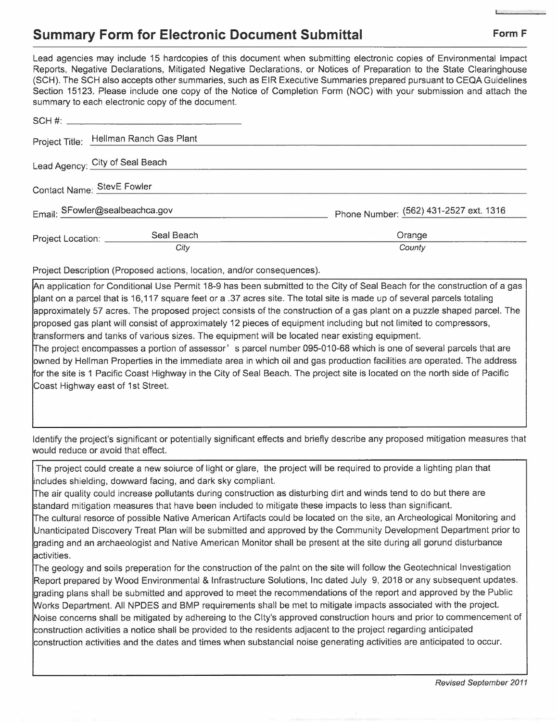## **Summary Form for Electronic Document Submittal <b>Form F** Form F

Lead agencies may include 15 hardcopies of this document when submitting electronic copies of Environmental Impact Reports, Negative Declarations, Mitigated Negative Declarations, or Notices of Preparation to the State Clearinghouse (SCH). The SCH also accepts other summaries, such as EIR Executive Summaries prepared pursuant to CEQA Guidelines Section 15123. Please include one copy of the Notice of Completion Form (NOC) with your submission and attach the

| summary to each electronic copy of the document. |                                        |
|--------------------------------------------------|----------------------------------------|
|                                                  |                                        |
| Project Title: Hellman Ranch Gas Plant           |                                        |
| Lead Agency: City of Seal Beach                  |                                        |
| Contact Name: StevE Fowler                       |                                        |
| Email: SFowler@sealbeachca.gov                   | Phone Number: (562) 431-2527 ext. 1316 |
| Seal Beach<br>Project Location: ________         | Orange                                 |
| City                                             | County                                 |

Project Description (Proposed actions, location, and/or consequences).

IAn application for Conditional Use Permit 18-9 has been submitted to the City of Seal Beach for the construction of a gas plant on a parcel that is 16,117 square feet or a .37 acres site. The total site is made up of several parcels totaling approximately 57 acres. The proposed project consists of the construction of a gas plant on a puzzle shaped parcel. The proposed gas plant will consist of approximately 12 pieces of equipment including but not limited to compressors, transformers and tanks of various sizes. The equipment will be located near existing equipment.

The project encompasses a portion of assessor' s parcel number 095-010-68 which is one of several parcels that are owned by Hellman Properties in the immediate area in which oil and gas production facilities are operated. The address for the site is 1 Pacific Coast Highway in the City of Seal Beach. The project site is located on the north side of Pacific Coast Highway east of 1st Street.

Identify the project's significant or potentially significant effects and briefly describe any proposed mitigation measures that would reduce or avoid that *effect.* 

The project could create a new soiurce of light or glare, the project will be required to provide a lighting plan that includes shielding, dowward facing, and dark sky compliant.

!The air quality could increase pollutants during construction as disturbing dirt and winds tend to do but there are standard mitigation measures that have been included to mitigate these impacts to less than significant.

The cultural resorce of possible Native American Artifacts could be located on the site, an Archeological Monitoring and Unanticipated Discovery Treat Plan will be submitted and approved by the Community Development Department prior to rading and an archaeologist and Native American Monitor shall be present at the site during all gorund disturbance activities.

The geology and soils preperation for the construction of the paint on the site will follow the Geotechnical Investigation Report prepared by Wood Environmental & Infrastructure Solutions, Inc dated July 9, 2018 or any subsequent updates. grading plans shall be submitted and approved to meet the recommendations of the report and approved by the Public lworks Department. All NPDES and BMP requirements shall be met to mitigate impacts associated with the project. Noise concerns shall be mitigated by adhereing to the City's approved construction hours and prior to commencement of construction activities a notice shall be provided to the residents adjacent to the project regarding anticipated construction activities and the dates and times when substancial noise generating activities are anticipated to occur.